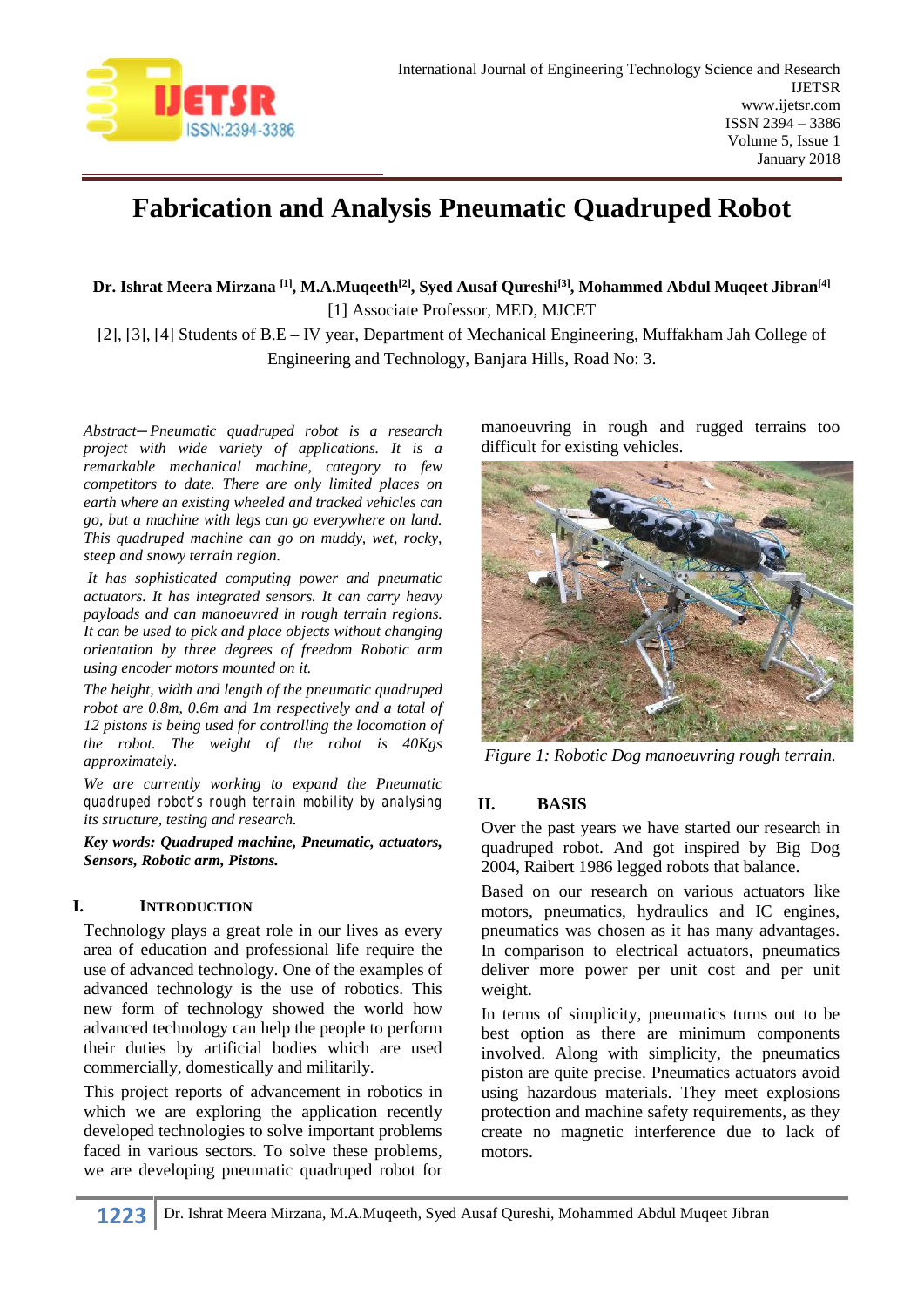

# **Fabrication and Analysis Pneumatic Quadruped Robot**

**Dr. Ishrat Meera Mirzana [1], M.A.Muqeeth[2], Syed Ausaf Qureshi[3], Mohammed Abdul Muqeet Jibran[4]** [1] Associate Professor, MED, MJCET

[2], [3], [4] Students of B.E – IV year, Department of Mechanical Engineering, Muffakham Jah College of Engineering and Technology, Banjara Hills, Road No: 3.

*Abstract—Pneumatic quadruped robot is a research project with wide variety of applications. It is a remarkable mechanical machine, category to few competitors to date. There are only limited places on earth where an existing wheeled and tracked vehicles can go, but a machine with legs can go everywhere on land. This quadruped machine can go on muddy, wet, rocky, steep and snowy terrain region.*

*It has sophisticated computing power and pneumatic actuators. It has integrated sensors. It can carry heavy payloads and can manoeuvred in rough terrain regions. It can be used to pick and place objects without changing orientation by three degrees of freedom Robotic arm using encoder motors mounted on it.*

*The height, width and length of the pneumatic quadruped robot are 0.8m, 0.6m and 1m respectively and a total of 12 pistons is being used for controlling the locomotion of the robot. The weight of the robot is 40Kgs approximately.*

*We are currently working to expand the Pneumatic quadruped robot's rough terrain mobility by analysing its structure, testing and research.*

*Key words: Quadruped machine, Pneumatic, actuators, Sensors, Robotic arm, Pistons.*

## **I. INTRODUCTION**

Technology plays a great role in our lives as every area of education and professional life require the use of advanced technology. One of the examples of advanced technology is the use of robotics. This new form of technology showed the world how advanced technology can help the people to perform their duties by artificial bodies which are used commercially, domestically and militarily.

This project reports of advancement in robotics in which we are exploring the application recently developed technologies to solve important problems faced in various sectors. To solve these problems, we are developing pneumatic quadruped robot for

manoeuvring in rough and rugged terrains too difficult for existing vehicles.



*Figure 1: Robotic Dog manoeuvring rough terrain.*

### **II. BASIS**

Over the past years we have started our research in quadruped robot. And got inspired by Big Dog 2004, Raibert 1986 legged robots that balance.

Based on our research on various actuators like motors, pneumatics, hydraulics and IC engines, pneumatics was chosen as it has many advantages. In comparison to electrical actuators, pneumatics deliver more power per unit cost and per unit weight.

In terms of simplicity, pneumatics turns out to be best option as there are minimum components involved. Along with simplicity, the pneumatics piston are quite precise. Pneumatics actuators avoid using hazardous materials. They meet explosions protection and machine safety requirements, as they create no magnetic interference due to lack of motors.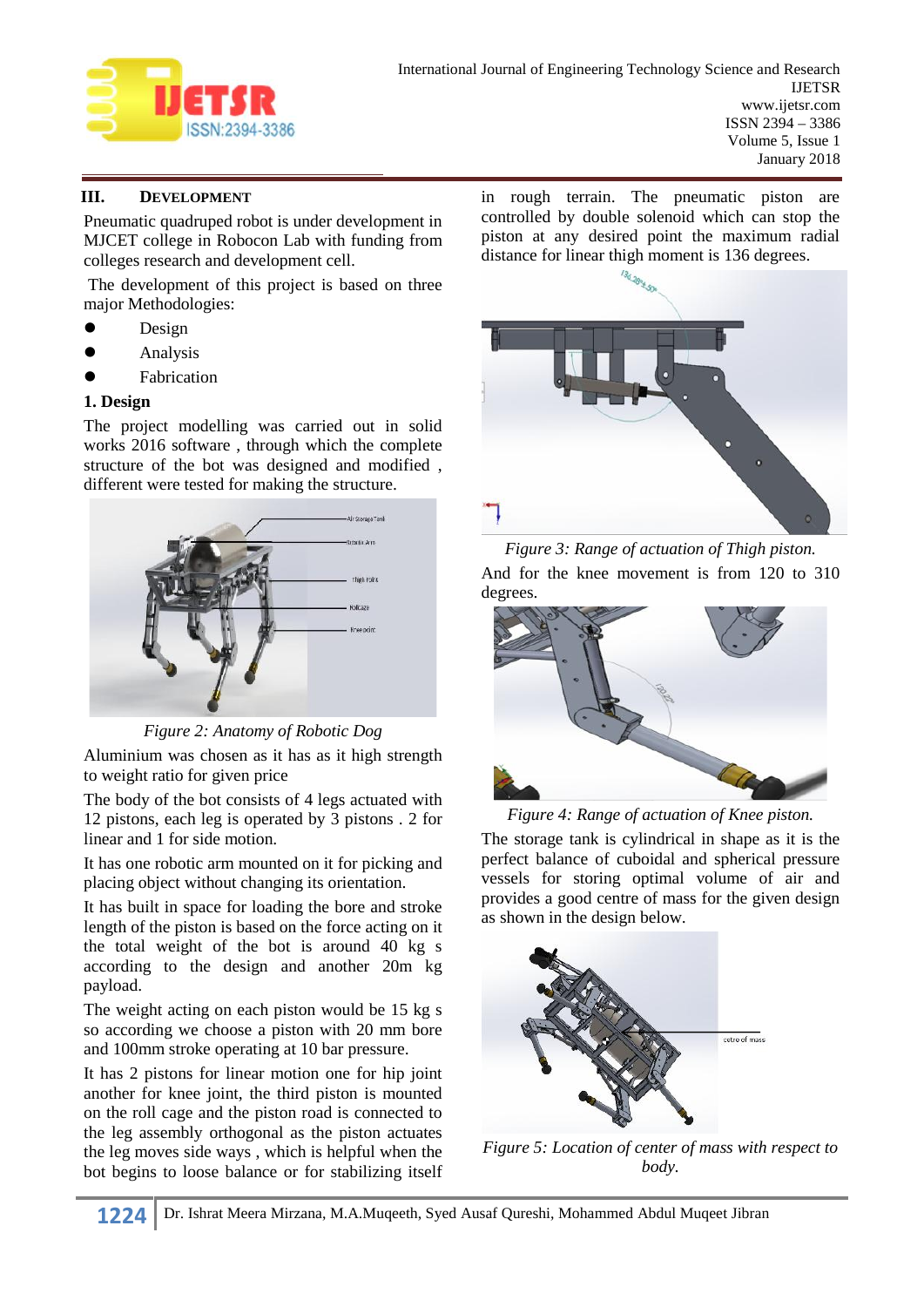

# **III. DEVELOPMENT**

Pneumatic quadruped robot is under development in MJCET college in Robocon Lab with funding from colleges research and development cell.

The development of this project is based on three major Methodologies:

- $\bullet$  Design
- Analysis
- Fabrication

### **1. Design**

The project modelling was carried out in solid works 2016 software , through which the complete structure of the bot was designed and modified , different were tested for making the structure.



*Figure 2: Anatomy of Robotic Dog*

Aluminium was chosen as it has as it high strength to weight ratio for given price

The body of the bot consists of 4 legs actuated with 12 pistons, each leg is operated by 3 pistons . 2 for linear and 1 for side motion.

It has one robotic arm mounted on it for picking and placing object without changing its orientation.

It has built in space for loading the bore and stroke length of the piston is based on the force acting on it the total weight of the bot is around 40 kg s according to the design and another 20m kg payload.

The weight acting on each piston would be 15 kg s so according we choose a piston with 20 mm bore and 100mm stroke operating at 10 bar pressure.

It has 2 pistons for linear motion one for hip joint another for knee joint, the third piston is mounted on the roll cage and the piston road is connected to the leg assembly orthogonal as the piston actuates the leg moves side ways , which is helpful when the bot begins to loose balance or for stabilizing itself

in rough terrain. The pneumatic piston are controlled by double solenoid which can stop the piston at any desired point the maximum radial



*Figure 3: Range of actuation of Thigh piston.* And for the knee movement is from 120 to 310 degrees.



*Figure 4: Range of actuation of Knee piston.*

The storage tank is cylindrical in shape as it is the perfect balance of cuboidal and spherical pressure vessels for storing optimal volume of air and provides a good centre of mass for the given design as shown in the design below.



*Figure 5: Location of center of mass with respect to body.*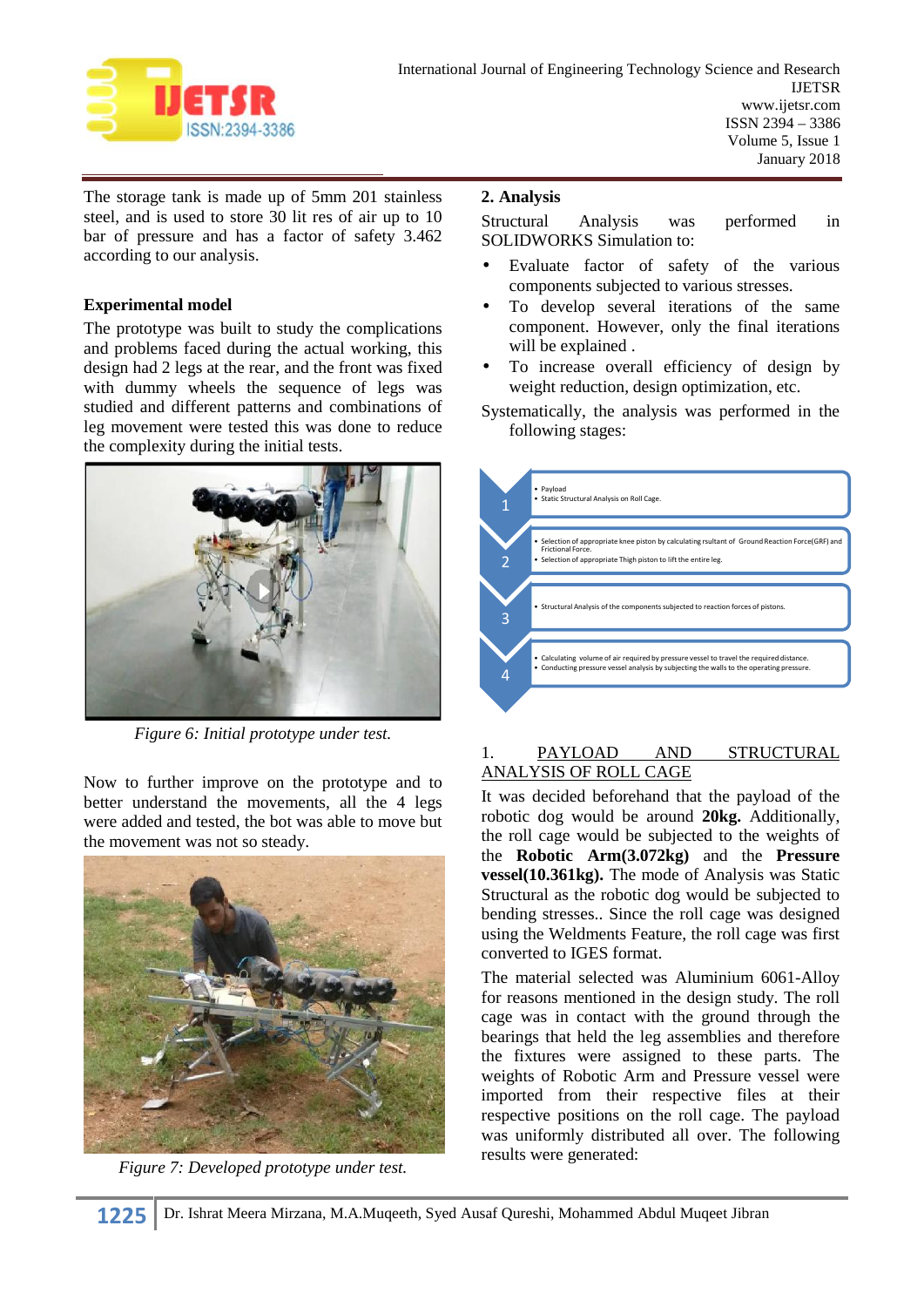

The storage tank is made up of 5mm 201 stainless steel, and is used to store 30 lit res of air up to 10 Structural bar of pressure and has a factor of safety 3.462 according to our analysis.

## **Experimental model**

The prototype was built to study the complications and problems faced during the actual working, this design had 2 legs at the rear, and the front was fixed with dummy wheels the sequence of legs was studied and different patterns and combinations of leg movement were tested this was done to reduce the complexity during the initial tests.



*Figure 6: Initial prototype under test.*

Now to further improve on the prototype and to better understand the movements, all the 4 legs were added and tested, the bot was able to move but the movement was not so steady.



*Figure 7: Developed prototype under test.*

# **2. Analysis**

Analysis was performed in SOLIDWORKS Simulation to:

- Evaluate factor of safety of the various components subjected to various stresses.
- To develop several iterations of the same component. However, only the final iterations will be explained .
- To increase overall efficiency of design by weight reduction, design optimization, etc.
- Systematically, the analysis was performed in the following stages:



## 1. PAYLOAD AND STRUCTURAL ANALYSIS OF ROLL CAGE

It was decided beforehand that the payload of the robotic dog would be around **20kg.** Additionally, the roll cage would be subjected to the weights of the **Robotic Arm(3.072kg)** and the **Pressure vessel(10.361kg).** The mode of Analysis was Static Structural as the robotic dog would be subjected to bending stresses.. Since the roll cage was designed using the Weldments Feature, the roll cage was first converted to IGES format.

The material selected was Aluminium 6061-Alloy for reasons mentioned in the design study. The roll cage was in contact with the ground through the bearings that held the leg assemblies and therefore the fixtures were assigned to these parts. The weights of Robotic Arm and Pressure vessel were imported from their respective files at their respective positions on the roll cage. The payload was uniformly distributed all over. The following results were generated: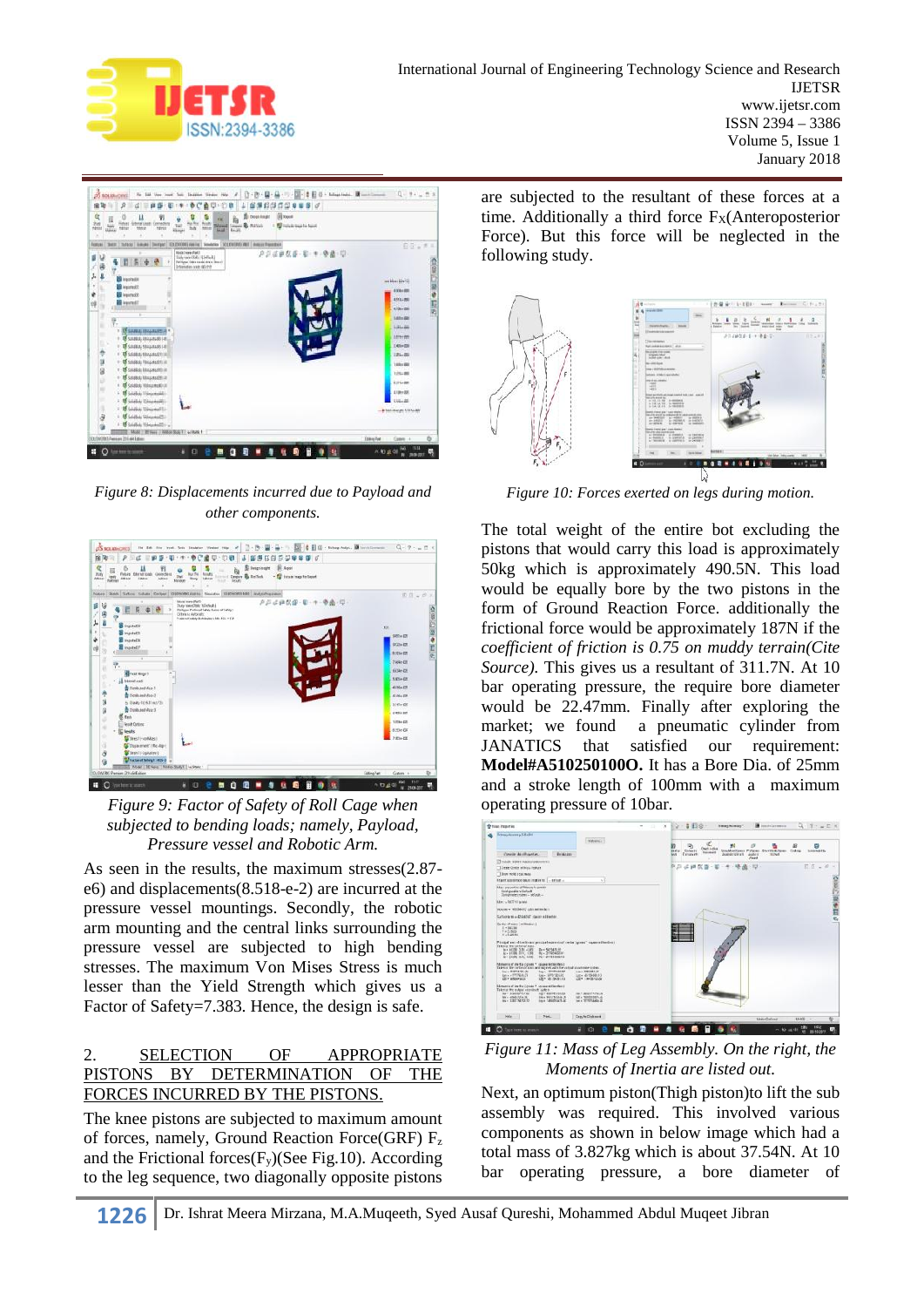



*Figure 8: Displacements incurred due to Payload and other components.*



*Figure 9: Factor of Safety of Roll Cage when subjected to bending loads; namely, Payload, Pressure vessel and Robotic Arm.*

As seen in the results, the maximum stresses(2.87 e6) and displacements(8.518-e-2) are incurred at the pressure vessel mountings. Secondly, the robotic arm mounting and the central links surrounding the pressure vessel are subjected to high bending stresses. The maximum Von Mises Stress is much lesser than the Yield Strength which gives us a Factor of Safety=7.383. Hence, the design is safe.

# 2. SELECTION OF APPROPRIATE PISTONS BY DETERMINATION OF THE FORCES INCURRED BY THE PISTONS.

The knee pistons are subjected to maximum amount of forces, namely, Ground Reaction Force(GRF) F<sup>z</sup> and the Frictional forces $(F_y)$ (See Fig.10). According to the leg sequence, two diagonally opposite pistons

are subjected to the resultant of these forces at a time. Additionally a third force  $F<sub>X</sub>(Anteroposterior)$ Force). But this force will be neglected in the following study.



*Figure 10: Forces exerted on legs during motion.*

The total weight of the entire bot excluding the pistons that would carry this load is approximately 50kg which is approximately 490.5N. This load would be equally bore by the two pistons in the form of Ground Reaction Force. additionally the frictional force would be approximately 187N if the *coefficient of friction is 0.75 on muddy terrain(Cite Source).* This gives us a resultant of 311.7N. At 10 bar operating pressure, the require bore diameter would be 22.47mm. Finally after exploring the market; we found a pneumatic cylinder from<br>JANATICS that satisfied our requirement: JANATICS that satisfied our requirement: **Model#A510250100O.** It has a Bore Dia. of 25mm and a stroke length of 100mm with a maximum operating pressure of 10bar.



*Figure 11: Mass of Leg Assembly. On the right, the Moments of Inertia are listed out.*

Next, an optimum piston(Thigh piston)to lift the sub assembly was required. This involved various components as shown in below image which had a total mass of 3.827kg which is about 37.54N. At 10 bar operating pressure, a bore diameter of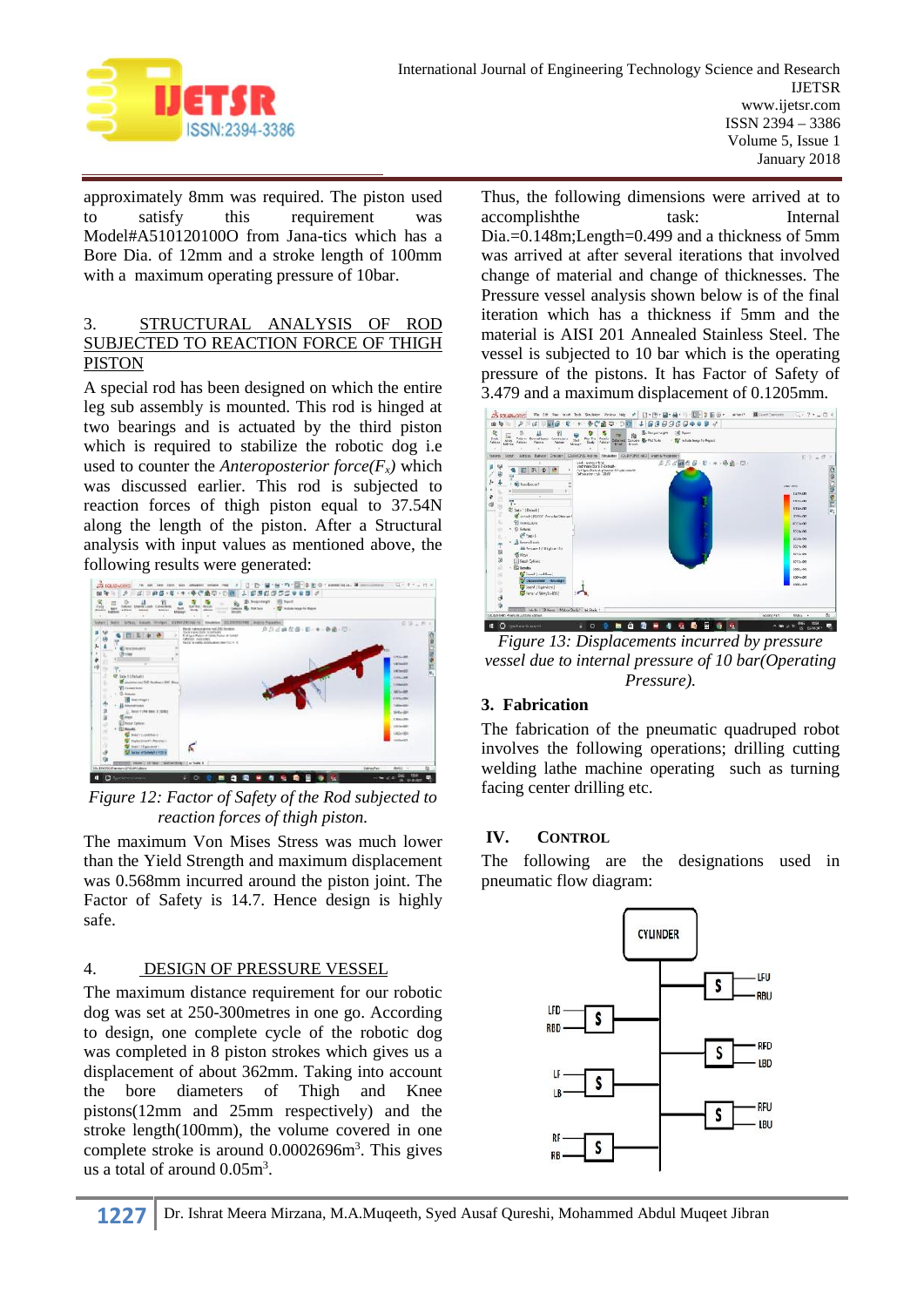

approximately 8mm was required. The piston used to satisfy this requirement was Model#A510120100O from Jana-tics which has a Bore Dia. of 12mm and a stroke length of 100mm with a maximum operating pressure of 10bar.

## 3. STRUCTURAL ANALYSIS OF ROD SUBJECTED TO REACTION FORCE OF THIGH PISTON

A special rod has been designed on which the entire leg sub assembly is mounted. This rod is hinged at two bearings and is actuated by the third piston<br>which is required to stehling the reports does in  $\sum_{n=1}^{\infty} \frac{1}{n} \sum_{n=1}^{\infty} \frac{1}{n} \sum_{n=1}^{\infty} \frac{1}{n} \sum_{n=1}^{\infty} \frac{1}{n} \sum_{n=1}^{\infty} \frac{1}{n} \sum_{n=1}^{\infty} \frac{1}{n} \sum_{n=1}$ which is required to stabilize the robotic dog i.e used to counter the *Anteroposterior force*( $F_x$ *)* which was discussed earlier. This rod is subjected to was discussed earlier. This rod is subjected to reaction forces of thigh piston equal to 37.54N along the length of the piston. After a Structural analysis with input values as mentioned above, the following results were generated:



*Figure 12: Factor of Safety of the Rod subjected to reaction forces of thigh piston.*

The maximum Von Mises Stress was much lower IV. than the Yield Strength and maximum displacement was 0.568mm incurred around the piston joint. The Factor of Safety is 14.7. Hence design is highly safe.

# 4. DESIGN OF PRESSURE VESSEL

The maximum distance requirement for our robotic dog was set at 250-300metres in one go. According to design, one complete cycle of the robotic dog was completed in 8 piston strokes which gives us a displacement of about 362mm. Taking into account the bore diameters of Thigh and Knee pistons(12mm and 25mm respectively) and the stroke length(100mm), the volume covered in one complete stroke is around 0.0002696m<sup>3</sup>. This gives us a total of around  $0.05m^3$ .

Thus, the following dimensions were arrived at to accomplishthe task: Internal Dia.=0.148m;Length=0.499 and a thickness of 5mm was arrived at after several iterations that involved change of material and change of thicknesses. The Pressure vessel analysis shown below is of the final iteration which has a thickness if 5mm and the material is AISI 201 Annealed Stainless Steel. The vessel is subjected to 10 bar which is the operating pressure of the pistons. It has Factor of Safety of 3.479 and a maximum displacement of 0.1205mm.



*Figure 13: Displacements incurred by pressure vessel due to internal pressure of 10 bar(Operating Pressure).*

# **3. Fabrication**

The fabrication of the pneumatic quadruped robot involves the following operations; drilling cutting welding lathe machine operating such as turning facing center drilling etc.

# **IV. CONTROL**

The following are the designations used in pneumatic flow diagram: